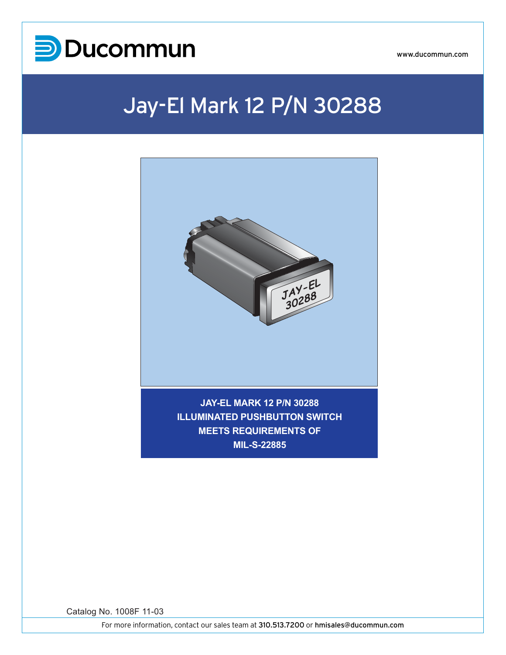

www.ducommun.com

## Jay-El Mark 12 P/N 30288



Catalog No. 1008F 11-03

For more information, contact our sales team at 310.513.7200 or hmisales@ducommun.com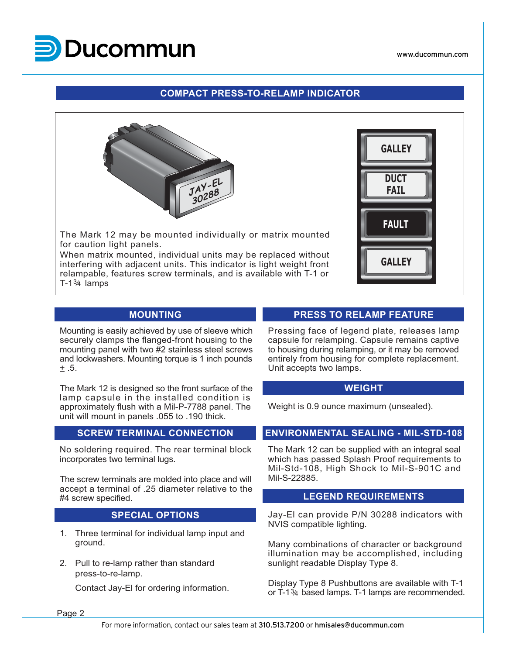

www.ducommun.com

#### **COMPACT PRESS-TO-RELAMP INDICATOR**



The Mark 12 may be mounted individually or matrix mounted for caution light panels.

When matrix mounted, individual units may be replaced without interfering with adjacent units. This indicator is light weight front relampable, features screw terminals, and is available with T-1 or  $T-1\frac{3}{4}$  lamps



#### **MOUNTING**

Mounting is easily achieved by use of sleeve which securely clamps the flanged-front housing to the mounting panel with two #2 stainless steel screws and lockwashers. Mounting torque is 1 inch pounds  $± .5.$ 

The Mark 12 is designed so the front surface of the lamp capsule in the installed condition is approximately flush with a Mil-P-7788 panel. The unit will mount in panels .055 to .190 thick.

#### **SCREW TERMINAL CONNECTION**

No soldering required. The rear terminal block incorporates two terminal lugs.

The screw terminals are molded into place and will accept a terminal of .25 diameter relative to the #4 screw specified.

#### **SPECIAL OPTIONS**

- 1. Three terminal for individual lamp input and ground.
- 2. Pull to re-lamp rather than standard press-to-re-lamp.

Contact Jay-El for ordering information.

#### **PRESS TO RELAMP FEATURE**

Pressing face of legend plate, releases lamp capsule for relamping. Capsule remains captive to housing during relamping, or it may be removed entirely from housing for complete replacement. Unit accepts two lamps.

#### **WEIGHT**

Weight is 0.9 ounce maximum (unsealed).

#### **ENVIRONMENTAL SEALING - MIL-STD-108**

The Mark 12 can be supplied with an integral seal which has passed Splash Proof requirements to Mil-Std-108, High Shock to Mil-S-901C and Mil-S-22885.

#### **LEGEND REQUIREMENTS**

Jay-El can provide P/N 30288 indicators with NVIS compatible lighting.

Many combinations of character or background illumination may be accomplished, including sunlight readable Display Type 8.

Display Type 8 Pushbuttons are available with T-1 or  $T-1\frac{3}{4}$  based lamps. T-1 lamps are recommended.

Page 2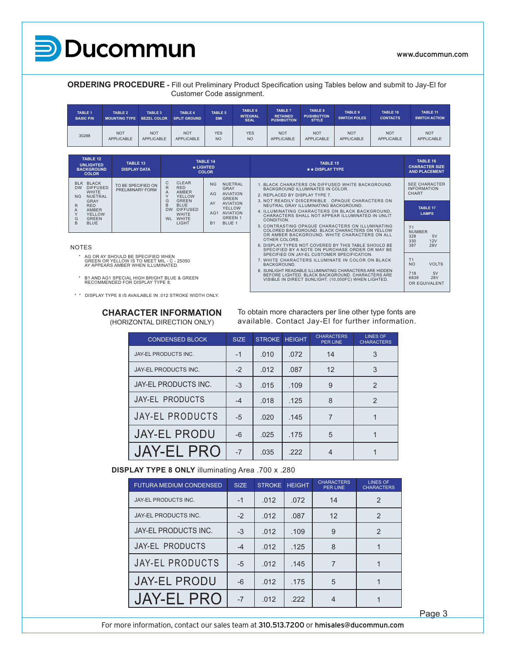

#### www.ducommun.com

718 5V 6839 28V OR EQUIVALENT

**ORDERING PROCEDURE -** Fill out Preliminary Product Specification using Tables below and submit to Jay-El for Customer Code assignment.

| <b>TABLE 1</b><br><b>BASIC P/N</b> | <b>TABLE 2</b><br><b>MOUNTING TYPE</b> | <b>TABLE 3</b><br><b>BEZEL COLOR</b> | <b>TABLE 4</b><br><b>SPLIT GROUND</b> | <b>TABLE 5</b><br><b>EMI</b> | TABLE 6<br><b>INTEGRAL</b><br><b>SEAL</b> | <b>TABLE 7</b><br><b>RETAINED</b><br><b>PUSHBUTTON</b> | TABLE 8<br><b>PUSHBUTTON</b><br><b>STYLE</b> | <b>TABLE 9</b><br><b>SWITCH POLES</b> | <b>TABLE 10</b><br><b>CONTACTS</b> | TABLE 11<br><b>SWITCH ACTION</b> |
|------------------------------------|----------------------------------------|--------------------------------------|---------------------------------------|------------------------------|-------------------------------------------|--------------------------------------------------------|----------------------------------------------|---------------------------------------|------------------------------------|----------------------------------|
| 30288                              | <b>NOT</b>                             | <b>NOT</b>                           | <b>NOT</b>                            | <b>YES</b>                   | <b>YES</b>                                | <b>NOT</b>                                             | <b>NOT</b>                                   | <b>NOT</b>                            | <b>NOT</b>                         | <b>NOT</b>                       |
|                                    | <b>APPLICABLE</b>                      | APPLICABLE                           | APPLICABLE                            | N <sub>O</sub>               | <b>NO</b>                                 | APPLICABLE                                             | <b>APPLICABLE</b>                            | <b>APPLICABLE</b>                     | APPLICABLE                         | APPLICABLE                       |

| <b>TABLE 12</b><br><b>UNLIGHTED</b><br><b>BACKGROUND</b><br><b>COLOR</b>                                | TABLE 13<br><b>DISPLAY DATA</b>                                                                                       | * LIGHTED                                                                                                  | <b>TABLE 14</b><br><b>COLOR</b>                                                                                           | TABLE 15<br>** DISPLAY TYPE                                                                                                                                                                                    | TABLE 16<br><b>CHARACTER SIZE</b><br><b>AND PLACEMENT</b>  |
|---------------------------------------------------------------------------------------------------------|-----------------------------------------------------------------------------------------------------------------------|------------------------------------------------------------------------------------------------------------|---------------------------------------------------------------------------------------------------------------------------|----------------------------------------------------------------------------------------------------------------------------------------------------------------------------------------------------------------|------------------------------------------------------------|
| BLK BLACK<br>DW DIFFUSED<br><b>WHITE</b><br>NUETRAL<br>N <sub>G</sub>                                   | TO BE SPECIFIED ON<br>PRELIMINARY FORM                                                                                | <b>CLEAR</b><br>C<br><b>RED</b><br>R.<br><b>AMBER</b><br>A<br><b>YELLOW</b>                                | <b>NUETRAL</b><br>NG<br>GRAY<br><b>AVIATION</b><br>AG<br><b>GREEN</b>                                                     | 1. BLACK CHARATERS ON DIFFUSED WHITE BACKGROUND.<br>BACKGROUND ILLUMINATES IN COLOR.<br>2. REPLACED BY DISPLAY TYPE 7.                                                                                         | <b>SEE CHARACTER</b><br><b>INFORMATION</b><br>CHART        |
| GRAY<br><b>RED</b><br>R.<br><b>AMBER</b><br>A<br><b>YELLOW</b><br><b>GREEN</b><br>G<br><b>BLUE</b><br>B |                                                                                                                       | <b>GREEN</b><br>G<br><b>BLUE</b><br>B<br><b>DW</b><br><b>DIFFUSED</b><br><b>WHITE</b><br>WL WHITE<br>LIGHT | <b>AVIATION</b><br>AY<br><b>YELLOW</b><br>AVIATION<br>AG <sub>1</sub><br><b>GREEN 1</b><br>BLUE <sub>1</sub><br><b>B1</b> | 3. NOT READILY DISCERNIBLE, OPAQUE CHARACTERS ON<br>NEUTRAL GRAY ILLUMINATING BACKGROUND.<br>4. ILLUMINATING CHARACTERS ON BLACK BACKGROUND.<br>CHARACTERS SHALL NOT APPEAR ILLUMINATED IN UNLIT<br>CONDITION. | <b>TABLE 17</b><br><b>LAMPS</b>                            |
|                                                                                                         |                                                                                                                       |                                                                                                            |                                                                                                                           | 5. CONTRASTING OPAQUE CHARACTERS ON ILLUMINATING<br>COLORED BACKGROUND. BLACK CHARACTERS ON YELLOW<br>OR AMBER BACKGROUND. WHITE CHARACTERS ON ALL<br>OTHER COLORS.                                            | T <sub>1</sub><br><b>NUMBER</b><br>328<br>5V<br>330<br>12V |
| <b>NOTES</b>                                                                                            |                                                                                                                       |                                                                                                            |                                                                                                                           | 6. DISPLAY TYPES NOT COVERED BY THIS TABLE SHOULD BE<br>SPECIFIED BY A NOTE ON PURCHASE ORDER OR MAY BE<br>SPECIFIED ON JAY-EL CUSTOMER SPECIFICATION.                                                         | 387<br>28V                                                 |
|                                                                                                         | AG OR AY SHOULD BE SPECIFIED WHEN<br>GREEN OR YELLOW IS TO MEET MIL - C - 25050<br>AY APPEARS AMBER WHEN ILLUMINATED. |                                                                                                            |                                                                                                                           | 7. WHITE CHARACTERS ILLUMINATE IN COLOR ON BLACK<br>BACKGROUND.                                                                                                                                                | T <sub>1</sub><br><b>NO</b><br><b>VOLTS</b>                |

NOTES

\* AG OR AY SHOULD BE SPECIFIED WHEN GREEN OR YELLOW IS TO MEET MIL - C - 25050 AY APPEARS AMBER WHEN ILLUMINATED.

\* B1 AND AG1 SPECIAL HIGH BRIGHT BLUE & GREEN RECOMMENDED FOR DISPLAY TYPE 8.

\* \* DISPLAY TYPE 8 IS AVAILABLE IN .012 STROKE WIDTH ONLY.

### **CHARACTER INFORMATION**

(HORIZONTAL DIRECTION ONLY)

To obtain more characters per line other type fonts are available. Contact Jay-El for further information.

8. SUNLIGHT READABLE ILLUMINATING CHARACTERS ARE HIDDEN BEFORE LIGHTED. BLACK BACKGROUND. CHARACTERS ARE VISIBLE IN DIRECT SUNLIGHT. (10,000FC) WHEN LIGHTED.

| <b>CONDENSED BLOCK</b> | <b>SIZE</b> | <b>STROKE HEIGHT</b> |      | <b>CHARACTERS</b><br><b>PER LINE</b> | <b>LINES OF</b><br><b>CHARACTERS</b> |
|------------------------|-------------|----------------------|------|--------------------------------------|--------------------------------------|
| JAY-EL PRODUCTS INC.   | $-1$        | .010                 | .072 | 14                                   | 3                                    |
| JAY-EL PRODUCTS INC.   | $-2$        | .012                 | .087 | 12                                   | 3                                    |
| JAY-EL PRODUCTS INC.   | $-3$        | .015                 | .109 | 9                                    | $\mathcal{P}$                        |
| <b>JAY-EL PRODUCTS</b> | $-4$        | .018                 | .125 | 8                                    | $\mathcal{P}$                        |
| <b>JAY-EL PRODUCTS</b> | $-5$        | .020                 | .145 | 7                                    |                                      |
| <b>JAY-EL PRODU</b>    | $-6$        | .025                 | .175 | 5                                    |                                      |
| <b>JAY-EL PRO</b>      | $-7$        | .035                 | .222 | 4                                    |                                      |

**DISPLAY TYPE 8 ONLY** illuminating Area .700 x .280

| <b>FUTURA MEDIUM CONDENSED</b> | <b>SIZE</b> | <b>STROKE</b> | <b>HEIGHT</b> | <b>CHARACTERS</b><br><b>PER LINE</b> | <b>LINES OF</b><br><b>CHARACTERS</b> |
|--------------------------------|-------------|---------------|---------------|--------------------------------------|--------------------------------------|
| JAY-EL PRODUCTS INC.           | $-1$        | .012          | .072          | 14                                   | $\mathcal{P}$                        |
| JAY-EL PRODUCTS INC.           | $-2$        | .012          | .087          | 12                                   | $\mathcal{P}$                        |
| <b>JAY-EL PRODUCTS INC.</b>    | $-3$        | .012          | .109          | 9                                    | $\overline{2}$                       |
| JAY-EL PRODUCTS                | -4          | .012          | .125          | 8                                    |                                      |
| <b>JAY-EL PRODUCTS</b>         | $-5$        | .012          | .145          | 7                                    |                                      |
| <b>JAY-EL PRODU</b>            | $-6$        | .012          | .175          | 5                                    |                                      |
| <b>JAY-EL PRO</b>              | $-7$        | .012          | .222          | 4                                    |                                      |

Page 3

For more information, contact our sales team at 310.513.7200 or hmisales@ducommun.com